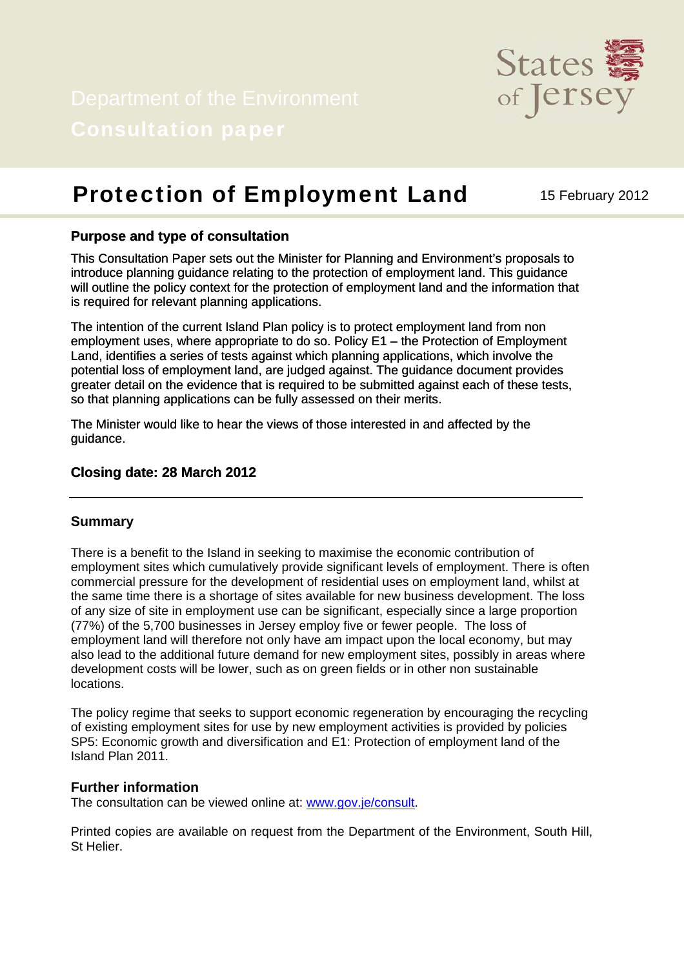

# **Protection of Employment Land** 15 February 2012

## **Purpose and type of consultation**

This Consultation Paper sets out the Minister for Planning and Environment's proposals to introduce planning guidance relating to the protection of employment land. This guidance will outline the policy context for the protection of employment land and the information that is required for relevant planning applications.

The intention of the current Island Plan policy is to protect employment land from non employment uses, where appropriate to do so. Policy E1 – the Protection of Employment Land, identifies a series of tests against which planning applications, which involve the potential loss of employment land, are judged against. The guidance document provides greater detail on the evidence that is required to be submitted against each of these tests, so that planning applications can be fully assessed on their merits.

The Minister would like to hear the views of those interested in and affected by the guidance.

### **Closing date: 28 March 2012**

#### **Summary**

There is a benefit to the Island in seeking to maximise the economic contribution of employment sites which cumulatively provide significant levels of employment. There is often commercial pressure for the development of residential uses on employment land, whilst at the same time there is a shortage of sites available for new business development. The loss of any size of site in employment use can be significant, especially since a large proportion (77%) of the 5,700 businesses in Jersey employ five or fewer people. The loss of employment land will therefore not only have am impact upon the local economy, but may also lead to the additional future demand for new employment sites, possibly in areas where development costs will be lower, such as on green fields or in other non sustainable locations.

The policy regime that seeks to support economic regeneration by encouraging the recycling of existing employment sites for use by new employment activities is provided by policies SP5: Economic growth and diversification and E1: Protection of employment land of the Island Plan 2011.

#### **Further information**

The consultation can be viewed online at: [www.gov.je/consult.](http://www.gov.je/consult)

Printed copies are available on request from the Department of the Environment, South Hill, St Helier.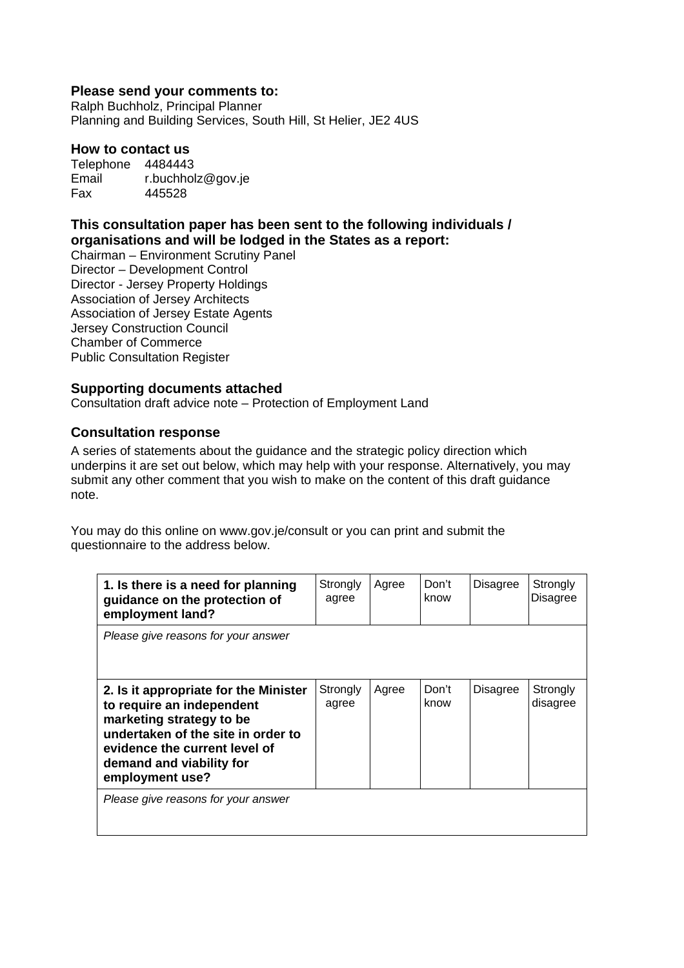### **Please send your comments to:**

Ralph Buchholz, Principal Planner Planning and Building Services, South Hill, St Helier, JE2 4US

#### **How to contact us**

Telephone 4484443 Email r.buchholz@gov.je Fax 445528

# **This consultation paper has been sent to the following individuals / organisations and will be lodged in the States as a report:**

Chairman – Environment Scrutiny Panel Director – Development Control Director - Jersey Property Holdings Association of Jersey Architects Association of Jersey Estate Agents Jersey Construction Council Chamber of Commerce Public Consultation Register

### **Supporting documents attached**

Consultation draft advice note – Protection of Employment Land

### **Consultation response**

A series of statements about the guidance and the strategic policy direction which underpins it are set out below, which may help with your response. Alternatively, you may submit any other comment that you wish to make on the content of this draft guidance note.

You may do this online on www.gov.je/consult or you can print and submit the questionnaire to the address below.

| 1. Is there is a need for planning<br>guidance on the protection of<br>employment land?                                                                                                                              | Strongly<br>agree | Agree | Don't<br>know | <b>Disagree</b> | Strongly<br><b>Disagree</b> |
|----------------------------------------------------------------------------------------------------------------------------------------------------------------------------------------------------------------------|-------------------|-------|---------------|-----------------|-----------------------------|
| Please give reasons for your answer                                                                                                                                                                                  |                   |       |               |                 |                             |
| 2. Is it appropriate for the Minister<br>to require an independent<br>marketing strategy to be<br>undertaken of the site in order to<br>evidence the current level of<br>demand and viability for<br>employment use? | Strongly<br>agree | Agree | Don't<br>know | <b>Disagree</b> | Strongly<br>disagree        |
| Please give reasons for your answer                                                                                                                                                                                  |                   |       |               |                 |                             |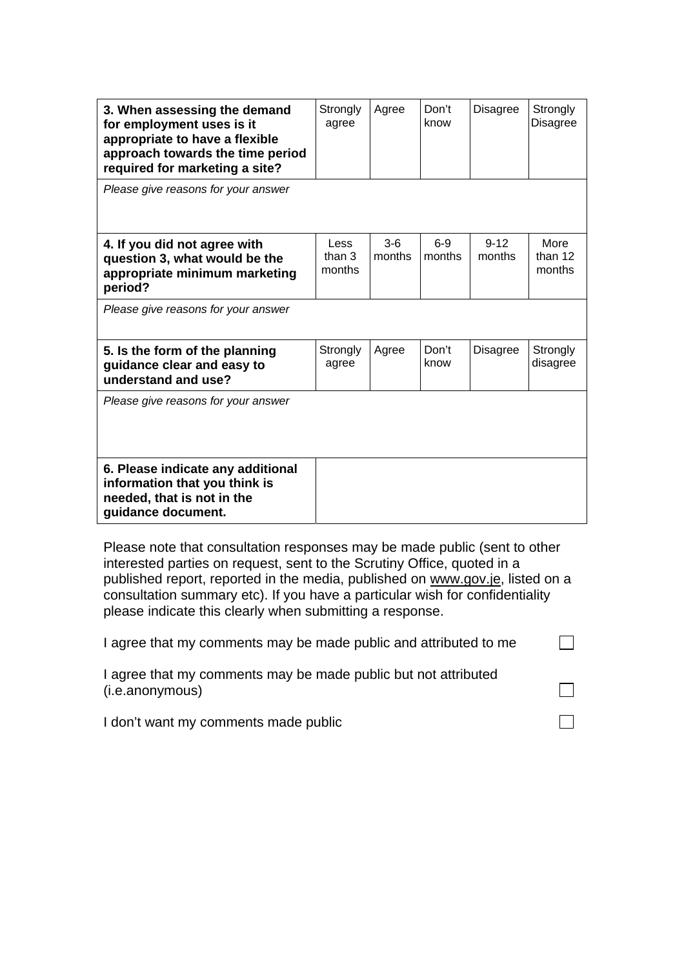| 3. When assessing the demand<br>for employment uses is it<br>appropriate to have a flexible<br>approach towards the time period<br>required for marketing a site? | Strongly<br>agree          | Agree           | Don't<br>know   | Disagree           | Strongly<br><b>Disagree</b> |
|-------------------------------------------------------------------------------------------------------------------------------------------------------------------|----------------------------|-----------------|-----------------|--------------------|-----------------------------|
| Please give reasons for your answer                                                                                                                               |                            |                 |                 |                    |                             |
| 4. If you did not agree with<br>question 3, what would be the<br>appropriate minimum marketing<br>period?                                                         | Less<br>than $3$<br>months | $3-6$<br>months | $6-9$<br>months | $9 - 12$<br>months | More<br>than 12<br>months   |
| Please give reasons for your answer                                                                                                                               |                            |                 |                 |                    |                             |
| 5. Is the form of the planning<br>guidance clear and easy to<br>understand and use?                                                                               | Strongly<br>agree          | Agree           | Don't<br>know   | Disagree           | Strongly<br>disagree        |
| Please give reasons for your answer                                                                                                                               |                            |                 |                 |                    |                             |
| 6. Please indicate any additional<br>information that you think is<br>needed, that is not in the<br>guidance document.                                            |                            |                 |                 |                    |                             |

Please note that consultation responses may be made public (sent to other interested parties on request, sent to the Scrutiny Office, quoted in a published report, reported in the media, published on [www.gov.je,](http://www.gov.je/) listed on a consultation summary etc). If you have a particular wish for confidentiality please indicate this clearly when submitting a response.

| I agree that my comments may be made public and attributed to me                  |  |
|-----------------------------------------------------------------------------------|--|
| I agree that my comments may be made public but not attributed<br>(i.e.anonymous) |  |
| I don't want my comments made public                                              |  |